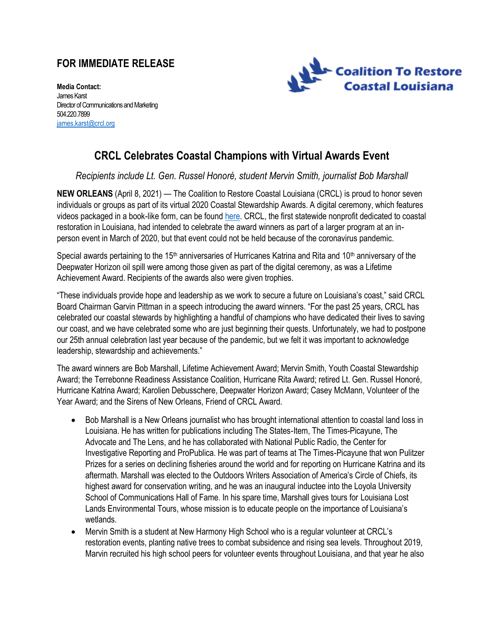## **FOR IMMEDIATE RELEASE**



**Media Contact:** James Karst Director of Communications and Marketing 504.220.7899 iames.karst@crcl.org

## **CRCL Celebrates Coastal Champions with Virtual Awards Event**

*Recipients include Lt. Gen. Russel Honoré, student Mervin Smith, journalist Bob Marshall* 

**NEW ORLEANS** (April 8, 2021) — The Coalition to Restore Coastal Louisiana (CRCL) is proud to honor seven individuals or groups as part of its virtual 2020 Coastal Stewardship Awards. A digital ceremony, which features videos packaged in a book-like form, can be found [here.](https://issuu.com/crcl1988/docs/2020sab1) CRCL, the first statewide nonprofit dedicated to coastal restoration in Louisiana, had intended to celebrate the award winners as part of a larger program at an inperson event in March of 2020, but that event could not be held because of the coronavirus pandemic.

Special awards pertaining to the 15<sup>th</sup> anniversaries of Hurricanes Katrina and Rita and 10<sup>th</sup> anniversary of the Deepwater Horizon oil spill were among those given as part of the digital ceremony, as was a Lifetime Achievement Award. Recipients of the awards also were given trophies.

"These individuals provide hope and leadership as we work to secure a future on Louisiana's coast," said CRCL Board Chairman Garvin Pittman in a speech introducing the award winners. "For the past 25 years, CRCL has celebrated our coastal stewards by highlighting a handful of champions who have dedicated their lives to saving our coast, and we have celebrated some who are just beginning their quests. Unfortunately, we had to postpone our 25th annual celebration last year because of the pandemic, but we felt it was important to acknowledge leadership, stewardship and achievements."

The award winners are Bob Marshall, Lifetime Achievement Award; Mervin Smith, Youth Coastal Stewardship Award; the Terrebonne Readiness Assistance Coalition, Hurricane Rita Award; retired Lt. Gen. Russel Honoré, Hurricane Katrina Award; Karolien Debusschere, Deepwater Horizon Award; Casey McMann, Volunteer of the Year Award; and the Sirens of New Orleans, Friend of CRCL Award.

- Bob Marshall is a New Orleans journalist who has brought international attention to coastal land loss in Louisiana. He has written for publications including The States-Item, The Times-Picayune, The Advocate and The Lens, and he has collaborated with National Public Radio, the Center for Investigative Reporting and ProPublica. He was part of teams at The Times-Picayune that won Pulitzer Prizes for a series on declining fisheries around the world and for reporting on Hurricane Katrina and its aftermath. Marshall was elected to the Outdoors Writers Association of America's Circle of Chiefs, its highest award for conservation writing, and he was an inaugural inductee into the Loyola University School of Communications Hall of Fame. In his spare time, Marshall gives tours for Louisiana Lost Lands Environmental Tours, whose mission is to educate people on the importance of Louisiana's wetlands.
- Mervin Smith is a student at New Harmony High School who is a regular volunteer at CRCL's restoration events, planting native trees to combat subsidence and rising sea levels. Throughout 2019, Marvin recruited his high school peers for volunteer events throughout Louisiana, and that year he also